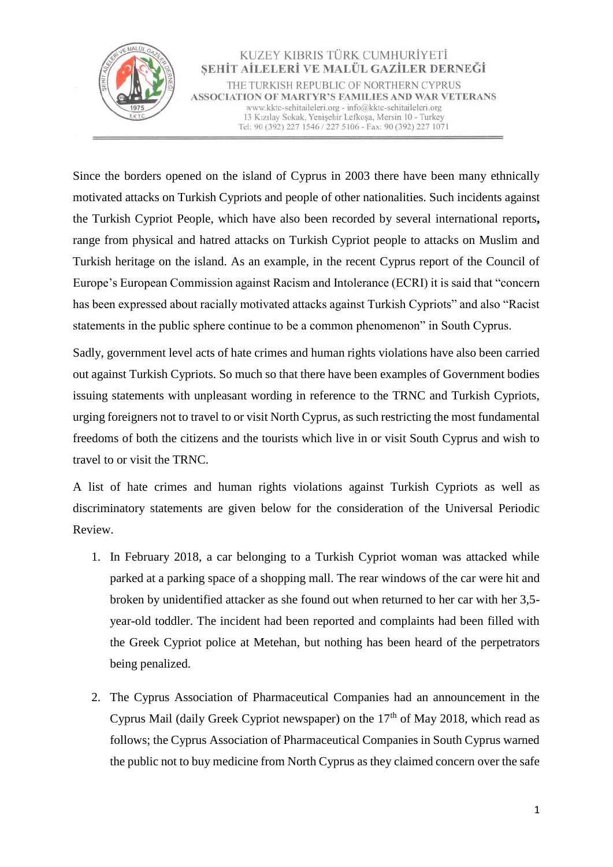

Since the borders opened on the island of Cyprus in 2003 there have been many ethnically motivated attacks on Turkish Cypriots and people of other nationalities. Such incidents against the Turkish Cypriot People, which have also been recorded by several international reports**,**  range from physical and hatred attacks on Turkish Cypriot people to attacks on Muslim and Turkish heritage on the island. As an example, in the recent Cyprus report of the Council of Europe's European Commission against Racism and Intolerance (ECRI) it is said that "concern has been expressed about racially motivated attacks against Turkish Cypriots" and also "Racist statements in the public sphere continue to be a common phenomenon" in South Cyprus.

Sadly, government level acts of hate crimes and human rights violations have also been carried out against Turkish Cypriots. So much so that there have been examples of Government bodies issuing statements with unpleasant wording in reference to the TRNC and Turkish Cypriots, urging foreigners not to travel to or visit North Cyprus, as such restricting the most fundamental freedoms of both the citizens and the tourists which live in or visit South Cyprus and wish to travel to or visit the TRNC.

A list of hate crimes and human rights violations against Turkish Cypriots as well as discriminatory statements are given below for the consideration of the Universal Periodic Review.

- 1. In February 2018, a car belonging to a Turkish Cypriot woman was attacked while parked at a parking space of a shopping mall. The rear windows of the car were hit and broken by unidentified attacker as she found out when returned to her car with her 3,5 year-old toddler. The incident had been reported and complaints had been filled with the Greek Cypriot police at Metehan, but nothing has been heard of the perpetrators being penalized.
- 2. The Cyprus Association of Pharmaceutical Companies had an announcement in the Cyprus Mail (daily Greek Cypriot newspaper) on the  $17<sup>th</sup>$  of May 2018, which read as follows; the Cyprus Association of Pharmaceutical Companies in South Cyprus warned the public not to buy medicine from North Cyprus as they claimed concern over the safe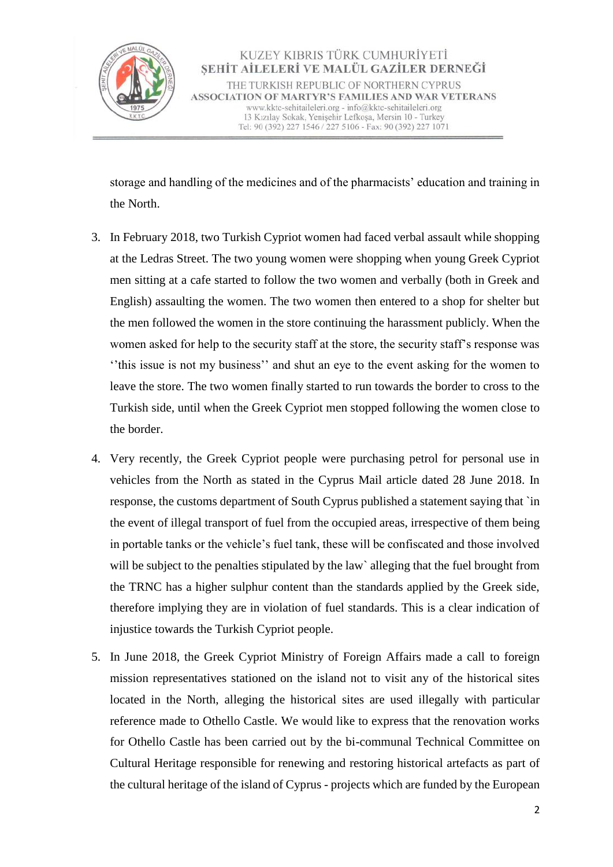

storage and handling of the medicines and of the pharmacists' education and training in the North.

- 3. In February 2018, two Turkish Cypriot women had faced verbal assault while shopping at the Ledras Street. The two young women were shopping when young Greek Cypriot men sitting at a cafe started to follow the two women and verbally (both in Greek and English) assaulting the women. The two women then entered to a shop for shelter but the men followed the women in the store continuing the harassment publicly. When the women asked for help to the security staff at the store, the security staff's response was ''this issue is not my business'' and shut an eye to the event asking for the women to leave the store. The two women finally started to run towards the border to cross to the Turkish side, until when the Greek Cypriot men stopped following the women close to the border.
- 4. Very recently, the Greek Cypriot people were purchasing petrol for personal use in vehicles from the North as stated in the Cyprus Mail article dated 28 June 2018. In response, the customs department of South Cyprus published a statement saying that `in the event of illegal transport of fuel from the occupied areas, irrespective of them being in portable tanks or the vehicle's fuel tank, these will be confiscated and those involved will be subject to the penalties stipulated by the law alleging that the fuel brought from the TRNC has a higher sulphur content than the standards applied by the Greek side, therefore implying they are in violation of fuel standards. This is a clear indication of injustice towards the Turkish Cypriot people.
- 5. In June 2018, the Greek Cypriot Ministry of Foreign Affairs made a call to foreign mission representatives stationed on the island not to visit any of the historical sites located in the North, alleging the historical sites are used illegally with particular reference made to Othello Castle. We would like to express that the renovation works for Othello Castle has been carried out by the bi-communal Technical Committee on Cultural Heritage responsible for renewing and restoring historical artefacts as part of the cultural heritage of the island of Cyprus - projects which are funded by the European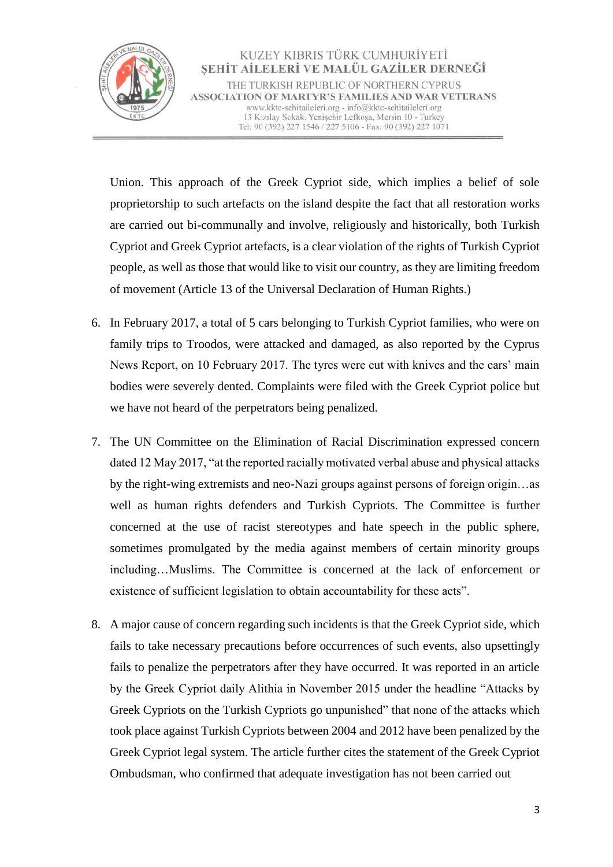

Union. This approach of the Greek Cypriot side, which implies a belief of sole proprietorship to such artefacts on the island despite the fact that all restoration works are carried out bi-communally and involve, religiously and historically, both Turkish Cypriot and Greek Cypriot artefacts, is a clear violation of the rights of Turkish Cypriot people, as well as those that would like to visit our country, as they are limiting freedom of movement (Article 13 of the Universal Declaration of Human Rights.)

- 6. In February 2017, a total of 5 cars belonging to Turkish Cypriot families, who were on family trips to Troodos, were attacked and damaged, as also reported by the Cyprus News Report, on 10 February 2017. The tyres were cut with knives and the cars' main bodies were severely dented. Complaints were filed with the Greek Cypriot police but we have not heard of the perpetrators being penalized.
- 7. The UN Committee on the Elimination of Racial Discrimination expressed concern dated 12 May 2017, "at the reported racially motivated verbal abuse and physical attacks by the right-wing extremists and neo-Nazi groups against persons of foreign origin…as well as human rights defenders and Turkish Cypriots. The Committee is further concerned at the use of racist stereotypes and hate speech in the public sphere, sometimes promulgated by the media against members of certain minority groups including…Muslims. The Committee is concerned at the lack of enforcement or existence of sufficient legislation to obtain accountability for these acts".
- 8. A major cause of concern regarding such incidents is that the Greek Cypriot side, which fails to take necessary precautions before occurrences of such events, also upsettingly fails to penalize the perpetrators after they have occurred. It was reported in an article by the Greek Cypriot daily Alithia in November 2015 under the headline "Attacks by Greek Cypriots on the Turkish Cypriots go unpunished" that none of the attacks which took place against Turkish Cypriots between 2004 and 2012 have been penalized by the Greek Cypriot legal system. The article further cites the statement of the Greek Cypriot Ombudsman, who confirmed that adequate investigation has not been carried out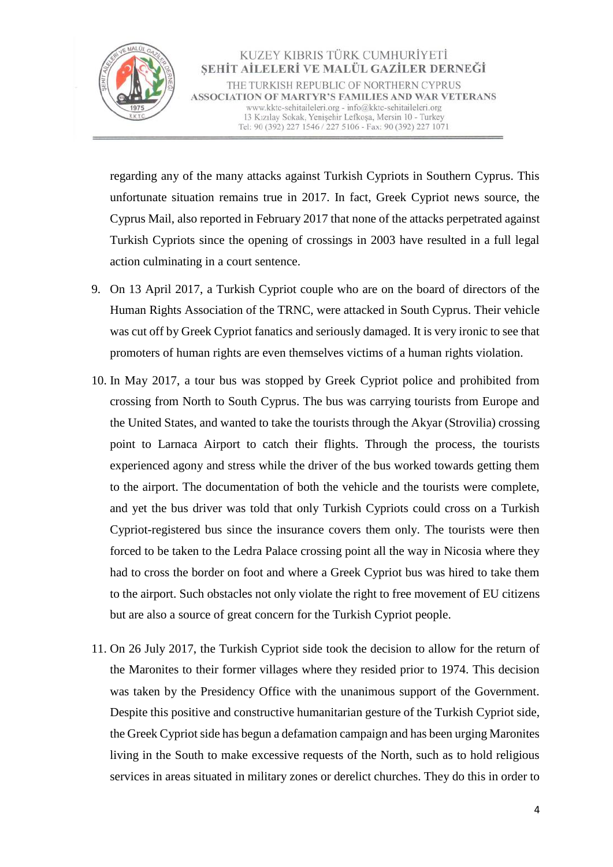

regarding any of the many attacks against Turkish Cypriots in Southern Cyprus. This unfortunate situation remains true in 2017. In fact, Greek Cypriot news source, the Cyprus Mail, also reported in February 2017 that none of the attacks perpetrated against Turkish Cypriots since the opening of crossings in 2003 have resulted in a full legal action culminating in a court sentence.

- 9. On 13 April 2017, a Turkish Cypriot couple who are on the board of directors of the Human Rights Association of the TRNC, were attacked in South Cyprus. Their vehicle was cut off by Greek Cypriot fanatics and seriously damaged. It is very ironic to see that promoters of human rights are even themselves victims of a human rights violation.
- 10. In May 2017, a tour bus was stopped by Greek Cypriot police and prohibited from crossing from North to South Cyprus. The bus was carrying tourists from Europe and the United States, and wanted to take the tourists through the Akyar (Strovilia) crossing point to Larnaca Airport to catch their flights. Through the process, the tourists experienced agony and stress while the driver of the bus worked towards getting them to the airport. The documentation of both the vehicle and the tourists were complete, and yet the bus driver was told that only Turkish Cypriots could cross on a Turkish Cypriot-registered bus since the insurance covers them only. The tourists were then forced to be taken to the Ledra Palace crossing point all the way in Nicosia where they had to cross the border on foot and where a Greek Cypriot bus was hired to take them to the airport. Such obstacles not only violate the right to free movement of EU citizens but are also a source of great concern for the Turkish Cypriot people.
- 11. On 26 July 2017, the Turkish Cypriot side took the decision to allow for the return of the Maronites to their former villages where they resided prior to 1974. This decision was taken by the Presidency Office with the unanimous support of the Government. Despite this positive and constructive humanitarian gesture of the Turkish Cypriot side, the Greek Cypriot side has begun a defamation campaign and has been urging Maronites living in the South to make excessive requests of the North, such as to hold religious services in areas situated in military zones or derelict churches. They do this in order to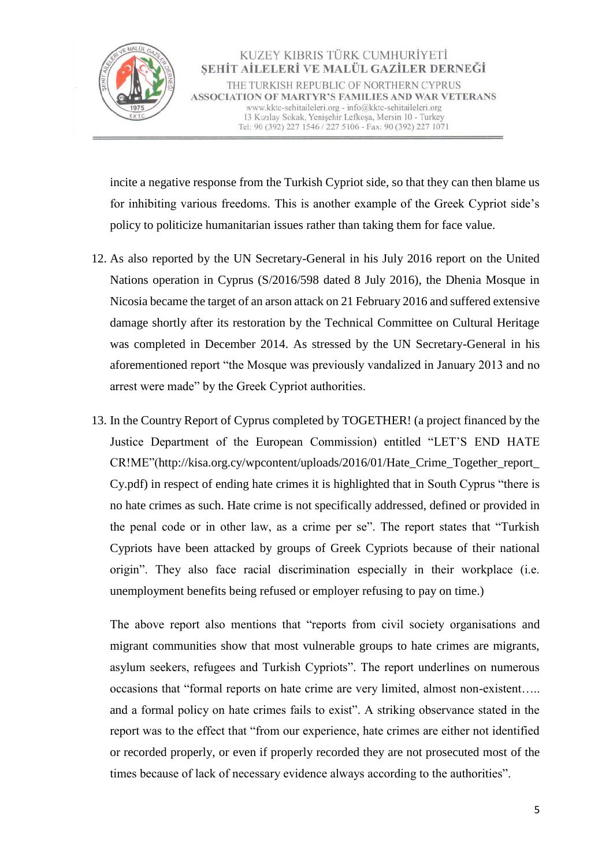

incite a negative response from the Turkish Cypriot side, so that they can then blame us for inhibiting various freedoms. This is another example of the Greek Cypriot side's policy to politicize humanitarian issues rather than taking them for face value.

- 12. As also reported by the UN Secretary-General in his July 2016 report on the United Nations operation in Cyprus (S/2016/598 dated 8 July 2016), the Dhenia Mosque in Nicosia became the target of an arson attack on 21 February 2016 and suffered extensive damage shortly after its restoration by the Technical Committee on Cultural Heritage was completed in December 2014. As stressed by the UN Secretary-General in his aforementioned report "the Mosque was previously vandalized in January 2013 and no arrest were made" by the Greek Cypriot authorities.
- 13. In the Country Report of Cyprus completed by TOGETHER! (a project financed by the Justice Department of the European Commission) entitled "LET'S END HATE CR!ME"[\(http://kisa.org.cy/wpcontent/uploads/2016/01/Hate\\_Crime\\_Together\\_report\\_](http://kisa.org.cy/wpcontent/uploads/2016/01/Hate_Crime_Together_report_Cy.pdf) [Cy.pdf\)](http://kisa.org.cy/wpcontent/uploads/2016/01/Hate_Crime_Together_report_Cy.pdf) in respect of ending hate crimes it is highlighted that in South Cyprus "there is no hate crimes as such. Hate crime is not specifically addressed, defined or provided in the penal code or in other law, as a crime per se". The report states that "Turkish Cypriots have been attacked by groups of Greek Cypriots because of their national origin". They also face racial discrimination especially in their workplace (i.e. unemployment benefits being refused or employer refusing to pay on time.)

The above report also mentions that "reports from civil society organisations and migrant communities show that most vulnerable groups to hate crimes are migrants, asylum seekers, refugees and Turkish Cypriots". The report underlines on numerous occasions that "formal reports on hate crime are very limited, almost non-existent….. and a formal policy on hate crimes fails to exist". A striking observance stated in the report was to the effect that "from our experience, hate crimes are either not identified or recorded properly, or even if properly recorded they are not prosecuted most of the times because of lack of necessary evidence always according to the authorities".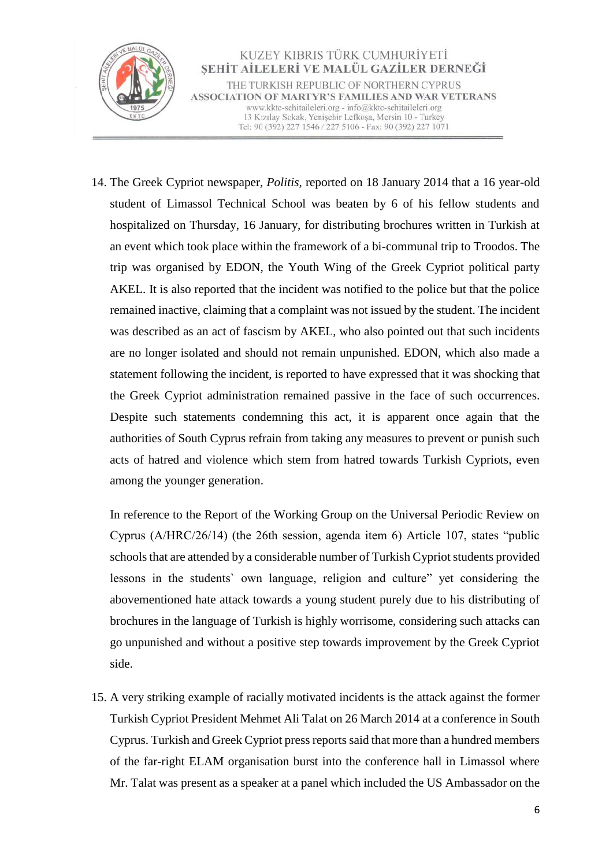

14. The Greek Cypriot newspaper, *Politis*, reported on 18 January 2014 that a 16 year-old student of Limassol Technical School was beaten by 6 of his fellow students and hospitalized on Thursday, 16 January, for distributing brochures written in Turkish at an event which took place within the framework of a bi-communal trip to Troodos. The trip was organised by EDON, the Youth Wing of the Greek Cypriot political party AKEL. It is also reported that the incident was notified to the police but that the police remained inactive, claiming that a complaint was not issued by the student. The incident was described as an act of fascism by AKEL, who also pointed out that such incidents are no longer isolated and should not remain unpunished. EDON, which also made a statement following the incident, is reported to have expressed that it was shocking that the Greek Cypriot administration remained passive in the face of such occurrences. Despite such statements condemning this act, it is apparent once again that the authorities of South Cyprus refrain from taking any measures to prevent or punish such acts of hatred and violence which stem from hatred towards Turkish Cypriots, even among the younger generation.

In reference to the Report of the Working Group on the Universal Periodic Review on Cyprus (A/HRC/26/14) (the 26th session, agenda item 6) Article 107, states "public schools that are attended by a considerable number of Turkish Cypriot students provided lessons in the students` own language, religion and culture" yet considering the abovementioned hate attack towards a young student purely due to his distributing of brochures in the language of Turkish is highly worrisome, considering such attacks can go unpunished and without a positive step towards improvement by the Greek Cypriot side.

15. A very striking example of racially motivated incidents is the attack against the former Turkish Cypriot President Mehmet Ali Talat on 26 March 2014 at a conference in South Cyprus. Turkish and Greek Cypriot press reports said that more than a hundred members of the far-right ELAM organisation burst into the conference hall in Limassol where Mr. Talat was present as a speaker at a panel which included the US Ambassador on the